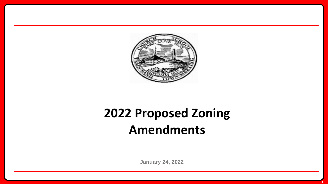

## **2022 Proposed Zoning Amendments**

**January 24, 2022**

**1**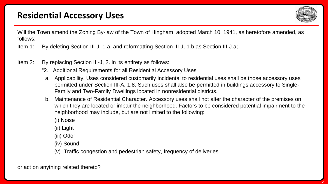

Will the Town amend the Zoning By-law of the Town of Hingham, adopted March 10, 1941, as heretofore amended, as follows:

Item 1: By deleting Section III-J, 1.a. and reformatting Section III-J, 1.b as Section III-J.a;

- Item 2: By replacing Section III-J, 2. in its entirety as follows:
	- "2. Additional Requirements for all Residential Accessory Uses
	- a. Applicability. Uses considered customarily incidental to residential uses shall be those accessory uses permitted under Section III-A, 1.8. Such uses shall also be permitted in buildings accessory to Single-Family and Two-Family Dwellings located in nonresidential districts.
	- b. Maintenance of Residential Character. Accessory uses shall not alter the character of the premises on which they are located or impair the neighborhood. Factors to be considered potential impairment to the neighborhood may include, but are not limited to the following:
		- (i) Noise
		- (ii) Light
		- (iii) Odor
		- (iv) Sound
		- (v) Traffic congestion and pedestrian safety, frequency of deliveries

or act on anything related thereto?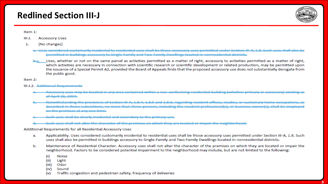## **Redlined Section III-J**



## Item 1:

- $III-J.$ **Accessory Uses**
- [No changes] 1.
	- Uses considered customarily incidental to residential uses shall be those accessory uses permitted under Section III, A. 1,8. Such uses shall also be permitted in buildings accessory to Single Family and Two Family Dwellings located in nonresidential districts
	- Uses, whether or not on the same parcel as activities permitted as a matter of right, accessory to activities permitted as a matter of right, which activities are necessary in connection with scientific research or scientific development or related production, may be permitted upon the issuance of a Special Permit A2, provided the Board of Appeals finds that the proposed accessory use does not substantially derogate from the public good.

Item 2:

- III-J.2. Additional Requirements
	- Accessory uses may be located in any area contained within a non-conforming residential building (whether primary or accessory) existing as of April 26, 2004.
	- Notwithstanding the provisions of Section III A, 1,8,4, 1,8,5 and 1,8,6, regarding resident offices, studios, or customary home occupations, as described in those subsections, no more than three persons, including the resident professional(s), or business owner(s), shall be employed on the premises at any one time.
	- Such uses shall be clearly incidental and secondary to the primary use.
	- Such uses shall not alter the character of the premises on which they are located or impair the neighborhood.

Additional Requirements for all Residential Accessory Uses

- Applicability. Uses considered customarily incidental to residential uses shall be those accessory uses permitted under Section III-A, 1.8. Such а. uses shall also be permitted in buildings accessory to Single-Family and Two-Family Dwellings located in nonresidential districts.
- Maintenance of Residential Character. Accessory uses shall not alter the character of the premises on which they are located or impair the b. neighborhood. Factors to be considered potential impairment to the neighborhood may include, but are not limited to the following:
	- $(i)$ Noise
	- $(ii)$ Light
	- (iii) Odor
	- (iv) Sound
	- Traffic congestion and pedestrian safety, frequency of deliveries  $(v)$